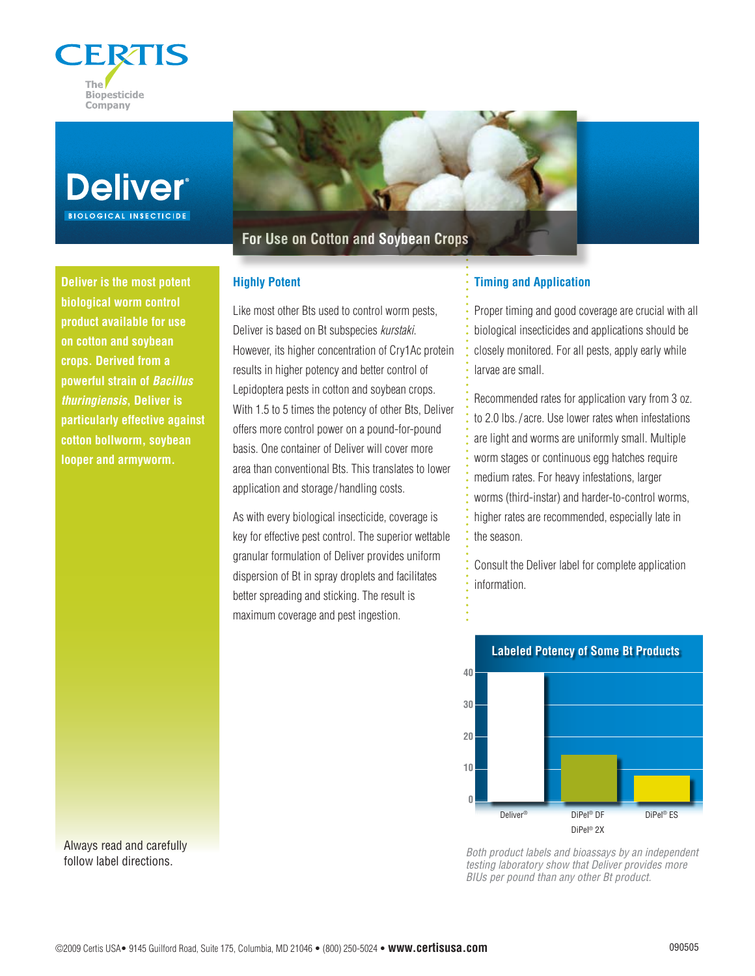



**Deliver is the most potent biological worm control product available for use on cotton and soybean crops. Derived from a powerful strain of** *Bacillus thuringiensis***, Deliver is particularly effective against cotton bollworm, soybean looper and armyworm.**

**For Use on Cotton and Soybean Crops**

## **Highly Potent**

Like most other Bts used to control worm pests, Deliver is based on Bt subspecies *kurstaki*. However, its higher concentration of Cry1Ac protein results in higher potency and better control of Lepidoptera pests in cotton and soybean crops. With 1.5 to 5 times the potency of other Bts, Deliver offers more control power on a pound-for-pound basis. One container of Deliver will cover more area than conventional Bts. This translates to lower application and storage/ handling costs.

As with every biological insecticide, coverage is key for effective pest control. The superior wettable granular formulation of Deliver provides uniform dispersion of Bt in spray droplets and facilitates better spreading and sticking. The result is maximum coverage and pest ingestion.

## **Timing and Application**

Proper timing and good coverage are crucial with all biological insecticides and applications should be closely monitored. For all pests, apply early while larvae are small.

Recommended rates for application vary from 3 oz. to 2.0 lbs./acre. Use lower rates when infestations are light and worms are uniformly small. Multiple worm stages or continuous egg hatches require medium rates. For heavy infestations, larger worms (third-instar) and harder-to-control worms, higher rates are recommended, especially late in the season.

Consult the Deliver label for complete application information.



*Both product labels and bioassays by an independent testing laboratory show that Deliver provides more BIUs per pound than any other Bt product.*

Always read and carefully follow label directions.